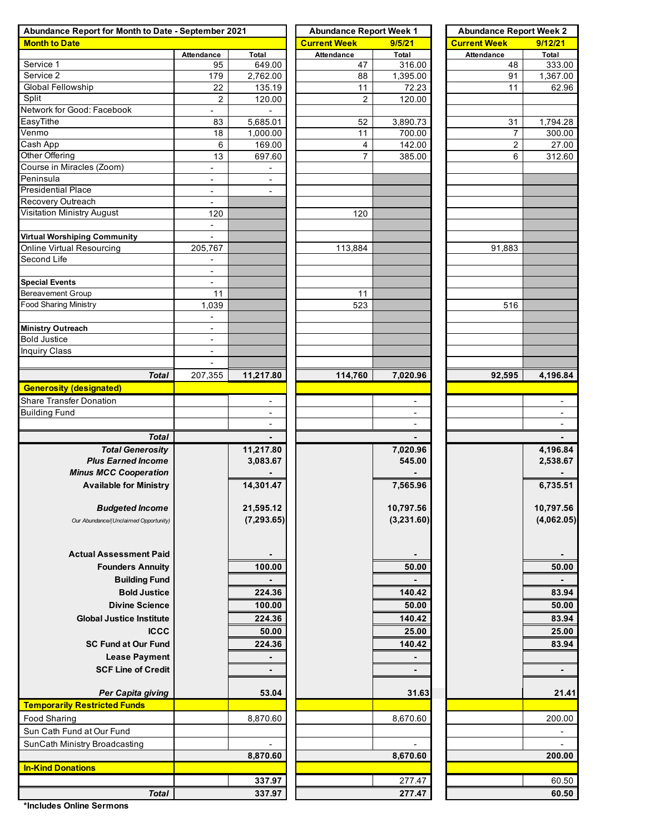| Abundance Report for Month to Date - September 2021 |                          |                          | <b>Abundance Report Week 1</b> |                | <b>Abundance Report Week 2</b> |                          |  |  |  |  |
|-----------------------------------------------------|--------------------------|--------------------------|--------------------------------|----------------|--------------------------------|--------------------------|--|--|--|--|
| <b>Month to Date</b>                                |                          |                          | <b>Current Week</b>            | 9/5/21         | <b>Current Week</b>            | 9/12/21                  |  |  |  |  |
|                                                     | Attendance               | Total                    | Attendance                     | Total          | Attendance                     | Total                    |  |  |  |  |
| Service 1                                           | 95                       | 649.00                   | 47                             | 316.00         | 48                             | 333.00                   |  |  |  |  |
| Service 2                                           | 179                      | 2,762.00                 | 88                             | 1,395.00       | 91                             | 1,367.00                 |  |  |  |  |
| <b>Global Fellowship</b>                            | 22                       | 135.19                   | 11                             | 72.23          | 11                             | 62.96                    |  |  |  |  |
| Split                                               | $\overline{2}$           | 120.00                   | $\sqrt{2}$                     | 120.00         |                                |                          |  |  |  |  |
| Network for Good: Facebook                          | $\overline{\phantom{a}}$ |                          |                                |                |                                |                          |  |  |  |  |
| EasyTithe                                           | 83                       | 5,685.01                 | 52                             | 3,890.73       | 31                             | 1,794.28                 |  |  |  |  |
| Venmo                                               | 18                       | 1,000.00                 | 11                             | 700.00         | $\overline{7}$                 | 300.00                   |  |  |  |  |
| Cash App                                            | 6                        | 169.00                   | $\overline{4}$                 | 142.00         | 2                              | 27.00                    |  |  |  |  |
| Other Offering                                      | 13                       | 697.60                   | 7                              | 385.00         | 6                              | 312.60                   |  |  |  |  |
| Course in Miracles (Zoom)                           | $\overline{\phantom{a}}$ |                          |                                |                |                                |                          |  |  |  |  |
| Peninsula                                           | $\overline{\phantom{a}}$ | $\overline{\phantom{a}}$ |                                |                |                                |                          |  |  |  |  |
| <b>Presidential Place</b>                           | $\blacksquare$           |                          |                                |                |                                |                          |  |  |  |  |
| Recovery Outreach                                   | $\overline{\phantom{a}}$ |                          |                                |                |                                |                          |  |  |  |  |
| <b>Visitation Ministry August</b>                   | 120                      |                          | 120                            |                |                                |                          |  |  |  |  |
|                                                     | $\overline{\phantom{a}}$ |                          |                                |                |                                |                          |  |  |  |  |
| Virtual Worshiping Community                        | $\overline{\phantom{a}}$ |                          |                                |                |                                |                          |  |  |  |  |
| <b>Online Virtual Resourcing</b>                    | 205,767                  |                          | 113,884                        |                | 91,883                         |                          |  |  |  |  |
| Second Life                                         | $\overline{\phantom{a}}$ |                          |                                |                |                                |                          |  |  |  |  |
|                                                     | $\overline{\phantom{a}}$ |                          |                                |                |                                |                          |  |  |  |  |
| <b>Special Events</b>                               | $\overline{\phantom{a}}$ |                          |                                |                |                                |                          |  |  |  |  |
| <b>Bereavement Group</b>                            | 11                       |                          | 11                             |                |                                |                          |  |  |  |  |
| <b>Food Sharing Ministry</b>                        | 1,039                    |                          | 523                            |                | 516                            |                          |  |  |  |  |
|                                                     |                          |                          |                                |                |                                |                          |  |  |  |  |
| <b>Ministry Outreach</b>                            | $\overline{\phantom{a}}$ |                          |                                |                |                                |                          |  |  |  |  |
| <b>Bold Justice</b>                                 | $\overline{\phantom{a}}$ |                          |                                |                |                                |                          |  |  |  |  |
| <b>Inquiry Class</b>                                | $\overline{\phantom{a}}$ |                          |                                |                |                                |                          |  |  |  |  |
|                                                     |                          |                          |                                |                |                                |                          |  |  |  |  |
| <b>Total</b>                                        | 207,355                  | 11,217.80                | 114,760                        | 7,020.96       | 92,595                         | 4,196.84                 |  |  |  |  |
| <b>Generosity (designated)</b>                      |                          |                          |                                |                |                                |                          |  |  |  |  |
| <b>Share Transfer Donation</b>                      |                          |                          |                                | $\blacksquare$ |                                |                          |  |  |  |  |
| <b>Building Fund</b>                                |                          |                          |                                | $\blacksquare$ |                                |                          |  |  |  |  |
|                                                     |                          |                          |                                |                |                                |                          |  |  |  |  |
| <b>Total</b>                                        |                          |                          |                                |                |                                |                          |  |  |  |  |
| <b>Total Generosity</b>                             |                          | 11,217.80                |                                | 7,020.96       |                                | 4,196.84                 |  |  |  |  |
| <b>Plus Earned Income</b>                           |                          | 3,083.67                 |                                | 545.00         |                                | 2,538.67                 |  |  |  |  |
| <b>Minus MCC Cooperation</b>                        |                          |                          |                                |                |                                |                          |  |  |  |  |
| <b>Available for Ministry</b>                       |                          | 14,301.47                |                                | 7,565.96       |                                | 6,735.51                 |  |  |  |  |
|                                                     |                          |                          |                                |                |                                |                          |  |  |  |  |
| <b>Budgeted Income</b>                              |                          | 21,595.12                |                                | 10,797.56      |                                | 10,797.56                |  |  |  |  |
| Our Abundance/(Unclaimed Opportunity)               |                          | (7, 293.65)              |                                | (3,231.60)     |                                | (4,062.05)               |  |  |  |  |
|                                                     |                          |                          |                                |                |                                |                          |  |  |  |  |
|                                                     |                          |                          |                                |                |                                |                          |  |  |  |  |
| <b>Actual Assessment Paid</b>                       |                          |                          |                                | $\blacksquare$ |                                |                          |  |  |  |  |
| <b>Founders Annuity</b>                             |                          | 100.00                   |                                | 50.00          |                                | 50.00                    |  |  |  |  |
|                                                     |                          |                          |                                |                |                                |                          |  |  |  |  |
| <b>Building Fund</b>                                |                          |                          |                                |                |                                | $\blacksquare$           |  |  |  |  |
| <b>Bold Justice</b>                                 |                          | 224.36                   |                                | 140.42         |                                | 83.94                    |  |  |  |  |
| <b>Divine Science</b>                               |                          | 100.00                   |                                | 50.00          |                                | 50.00                    |  |  |  |  |
| <b>Global Justice Institute</b>                     |                          | 224.36                   |                                | 140.42         |                                | 83.94                    |  |  |  |  |
| <b>ICCC</b>                                         |                          | 50.00                    |                                | 25.00          |                                | 25.00                    |  |  |  |  |
| <b>SC Fund at Our Fund</b>                          |                          | 224.36                   |                                | 140.42         |                                | 83.94                    |  |  |  |  |
| <b>Lease Payment</b>                                |                          |                          |                                |                |                                |                          |  |  |  |  |
| <b>SCF Line of Credit</b>                           |                          |                          |                                | $\blacksquare$ |                                |                          |  |  |  |  |
|                                                     |                          |                          |                                |                |                                |                          |  |  |  |  |
| Per Capita giving                                   |                          | 53.04                    |                                | 31.63          |                                | 21.41                    |  |  |  |  |
| <b>Temporarily Restricted Funds</b>                 |                          |                          |                                |                |                                |                          |  |  |  |  |
|                                                     |                          |                          |                                |                |                                |                          |  |  |  |  |
| <b>Food Sharing</b>                                 |                          | 8,870.60                 |                                | 8,670.60       |                                | 200.00                   |  |  |  |  |
| Sun Cath Fund at Our Fund                           |                          |                          |                                |                |                                | $\overline{\phantom{a}}$ |  |  |  |  |
| SunCath Ministry Broadcasting                       |                          |                          |                                |                |                                | $\overline{\phantom{a}}$ |  |  |  |  |
|                                                     |                          | 8,870.60                 |                                | 8,670.60       |                                | 200.00                   |  |  |  |  |
| <b>In-Kind Donations</b>                            |                          |                          |                                |                |                                |                          |  |  |  |  |
|                                                     |                          | 337.97                   |                                | 277.47         |                                | 60.50                    |  |  |  |  |
| <b>Total</b>                                        |                          | 337.97                   |                                | 277.47         |                                | 60.50                    |  |  |  |  |
|                                                     |                          |                          |                                |                |                                |                          |  |  |  |  |

**\*Includes Online Sermons**